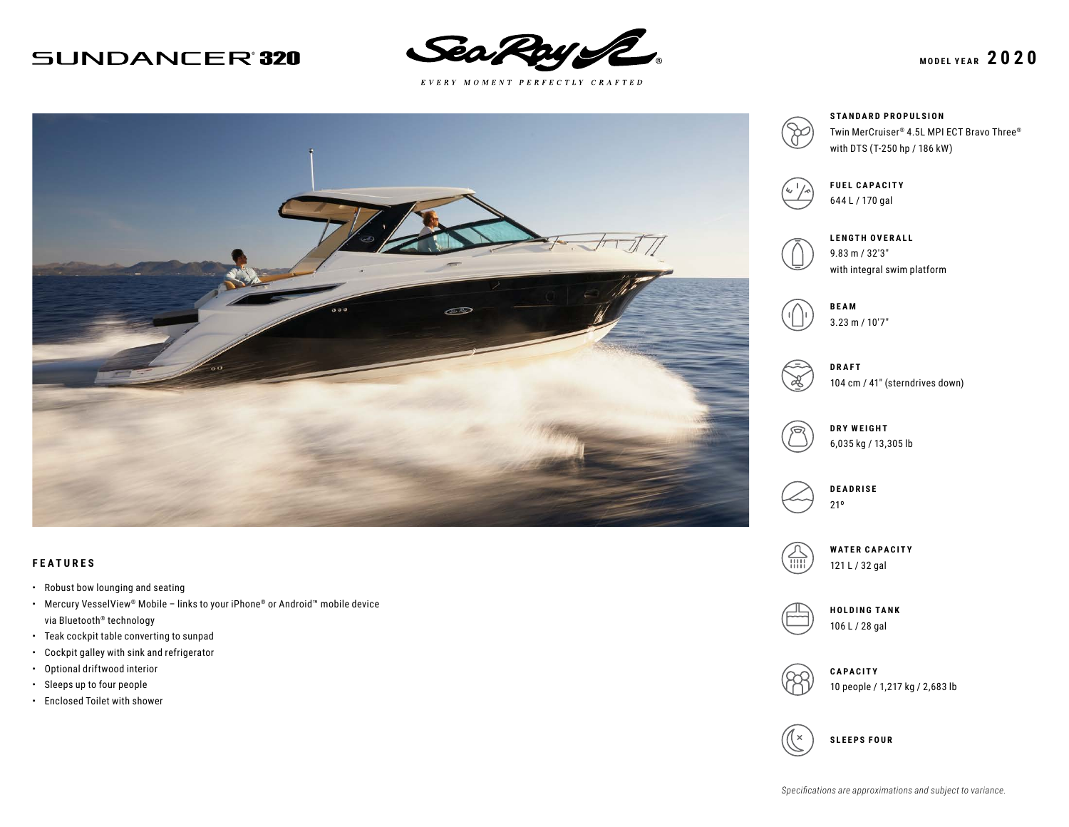## **SUNDANCER'320**



 $E \; V \; E \; R \; Y \quad M \; O \; M \; E \; N \; T \quad P \; E \; R \; F \; E \; C \; T \; L \; Y \quad C \; R \; A \; F \; T \; E \; D$ 



### **FEATURES**

- Robust bow lounging and seating
- Mercury VesselView® Mobile links to your iPhone® or Android™ mobile device via Bluetooth® technology
- Teak cockpit table converting to sunpad
- Cockpit galley with sink and refrigerator
- Optional driftwood interior
- Sleeps up to four people
- Enclosed Toilet with shower



**STANDARD PROPULSION** Twin MerCruiser® 4.5L MPI ECT Bravo Three® with DTS (T-250 hp / 186 kW)



**FUEL CAPACITY** 644 L / 170 gal



with integral swim platform





104 cm / 41″ (sterndrives down)



6,035 kg / 13,305 lb



**WATER CAPACITY** 121 L / 32 gal



**HOLDING TANK** 106 L / 28 gal



**CAPACITY** 10 people / 1,217 kg / 2,683 lb

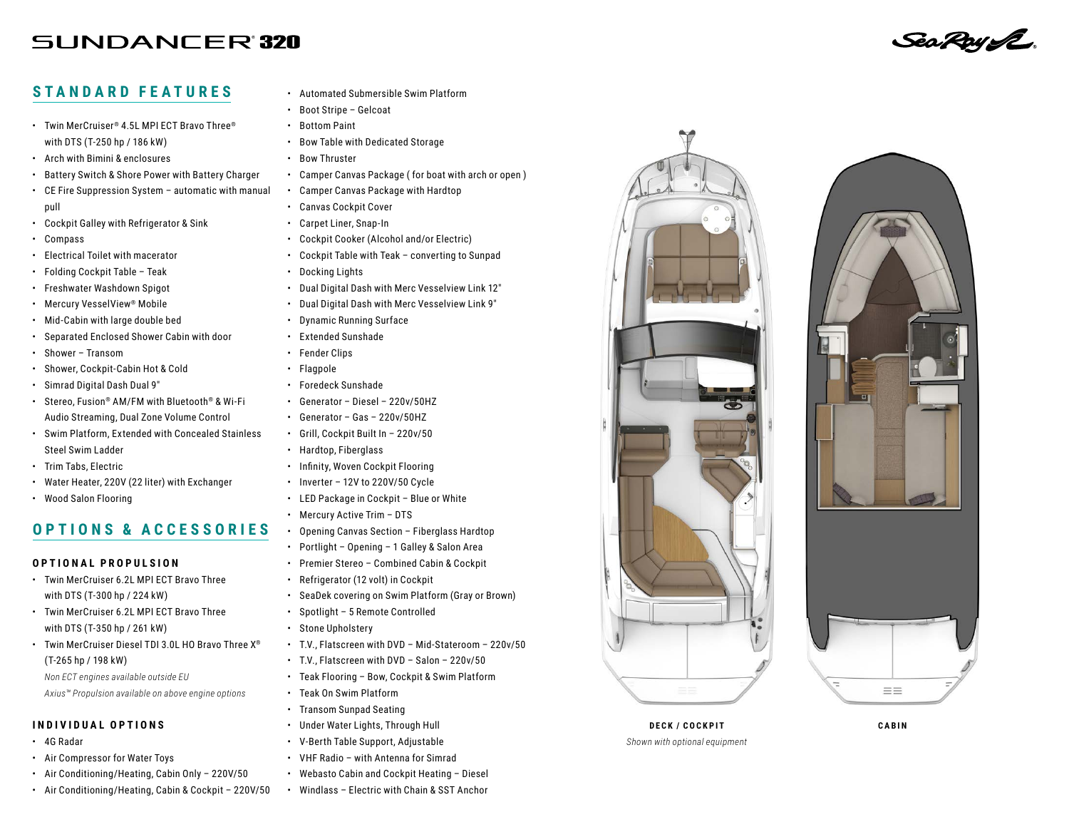# **SUNDANCER'320**

### **STANDARD FEATURES**

- Twin MerCruiser® 4.5L MPI ECT Bravo Three® with DTS (T-250 hp / 186 kW)
- Arch with Bimini & enclosures
- Battery Switch & Shore Power with Battery Charger
- CE Fire Suppression System automatic with manual pull
- Cockpit Galley with Refrigerator & Sink
- Compass
- Electrical Toilet with macerator
- Folding Cockpit Table Teak
- Freshwater Washdown Spigot
- Mercury VesselView® Mobile
- Mid-Cabin with large double bed
- Separated Enclosed Shower Cabin with door
- Shower Transom
- Shower, Cockpit-Cabin Hot & Cold
- Simrad Digital Dash Dual 9″
- Stereo, Fusion® AM/FM with Bluetooth® & Wi-Fi Audio Streaming, Dual Zone Volume Control
- Swim Platform, Extended with Concealed Stainless Steel Swim Ladder
- Trim Tabs, Electric
- Water Heater, 220V (22 liter) with Exchanger
- Wood Salon Flooring

### **OPTIONS & ACCESSORIES**

### **OPTIONAL PROPULSION**

- Twin MerCruiser 6.2L MPI ECT Bravo Three with DTS (T-300 hp / 224 kW)
- Twin MerCruiser 6.2L MPI ECT Bravo Three with DTS (T-350 hp / 261 kW)
- Twin MerCruiser Diesel TDI 3.0L HO Bravo Three X® (T-265 hp / 198 kW)

*Non ECT engines available outside EU Axius™ Propulsion available on above engine options*

#### **INDIVIDUAL OPTIONS**

- 4G Radar
- Air Compressor for Water Toys
- Air Conditioning/Heating, Cabin Only 220V/50
- Air Conditioning/Heating, Cabin & Cockpit 220V/50
- Automated Submersible Swim Platform
- Boot Stripe Gelcoat
- Bottom Paint
- Bow Table with Dedicated Storage
- Bow Thruster
- Camper Canvas Package ( for boat with arch or open )
- Camper Canvas Package with Hardtop
- Canvas Cockpit Cover
- Carpet Liner, Snap-In
- Cockpit Cooker (Alcohol and/or Electric)
- Cockpit Table with Teak converting to Sunpad
- Docking Lights
- Dual Digital Dash with Merc Vesselview Link 12″
- Dual Digital Dash with Merc Vesselview Link 9″
- Dynamic Running Surface
- Extended Sunshade
- Fender Clips
- Flagpole
- Foredeck Sunshade
- Generator Diesel 220v/50HZ
- Generator Gas 220v/50HZ
- Grill, Cockpit Built In 220v/50
- Hardtop, Fiberglass
- Infinity, Woven Cockpit Flooring
- Inverter 12V to 220V/50 Cycle
- LED Package in Cockpit Blue or White
- Mercury Active Trim DTS
- Opening Canvas Section Fiberglass Hardtop
- Portlight Opening 1 Galley & Salon Area
- Premier Stereo Combined Cabin & Cockpit
- Refrigerator (12 volt) in Cockpit
- SeaDek covering on Swim Platform (Gray or Brown)
- Spotlight 5 Remote Controlled
- Stone Upholstery
- T.V., Flatscreen with DVD Mid-Stateroom 220v/50
- T.V., Flatscreen with DVD Salon 220v/50
- Teak Flooring Bow, Cockpit & Swim Platform
- Teak On Swim Platform
- Transom Sunpad Seating
- Under Water Lights, Through Hull
- V-Berth Table Support, Adjustable
- VHF Radio with Antenna for Simrad
- Webasto Cabin and Cockpit Heating Diesel
- Windlass Electric with Chain & SST Anchor







Sea Roy IZ